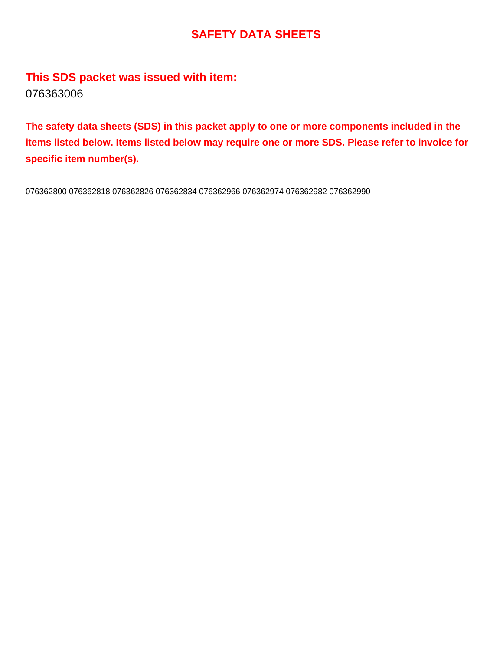## **SAFETY DATA SHEETS**

**This SDS packet was issued with item:** 076363006

**The safety data sheets (SDS) in this packet apply to one or more components included in the items listed below. Items listed below may require one or more SDS. Please refer to invoice for specific item number(s).**

076362800 076362818 076362826 076362834 076362966 076362974 076362982 076362990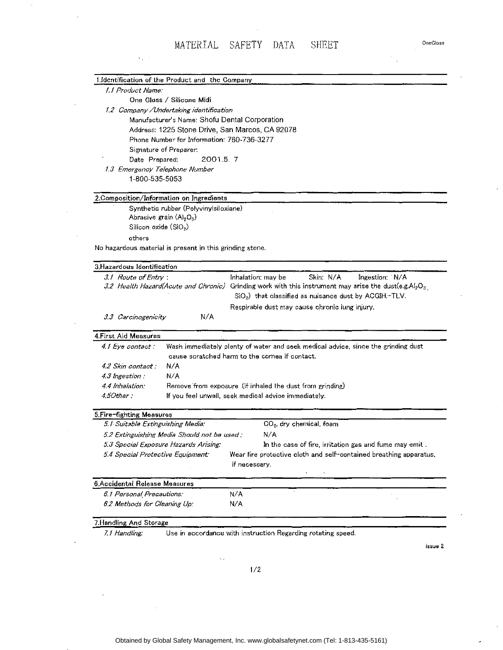Ÿ.

|                                                                                          | 1.Identification of the Product and the Company                                                                               |  |  |  |
|------------------------------------------------------------------------------------------|-------------------------------------------------------------------------------------------------------------------------------|--|--|--|
| 1.1 Product Name:                                                                        |                                                                                                                               |  |  |  |
|                                                                                          | One Gloss / Silicone Midi                                                                                                     |  |  |  |
|                                                                                          |                                                                                                                               |  |  |  |
| 1.2 Company /Undertaking identification<br>Manufacturer's Name: Shofu Dental Corporation |                                                                                                                               |  |  |  |
|                                                                                          | Address: 1225 Stone Drive, San Marcos, CA 92078                                                                               |  |  |  |
|                                                                                          | Phone Number for Information: 760-736-3277                                                                                    |  |  |  |
|                                                                                          | Signature of Preparer:                                                                                                        |  |  |  |
| Date Prepared:                                                                           | 2001.5.7                                                                                                                      |  |  |  |
|                                                                                          | 1.3 Emergency Telephone Number                                                                                                |  |  |  |
| 1-800-535-5053                                                                           |                                                                                                                               |  |  |  |
|                                                                                          | 2.Composition/Information on Ingredients                                                                                      |  |  |  |
|                                                                                          | Synthetic rubber (PolyvinyIsiloxiane)                                                                                         |  |  |  |
|                                                                                          | Abrasive grain $(A)_2O_3$ )                                                                                                   |  |  |  |
| Silicon oxide (SiO2)                                                                     |                                                                                                                               |  |  |  |
| others                                                                                   |                                                                                                                               |  |  |  |
|                                                                                          | No hazardous material is present in this grinding stone.                                                                      |  |  |  |
|                                                                                          |                                                                                                                               |  |  |  |
| 3. Hazardous Identification                                                              |                                                                                                                               |  |  |  |
| 3.1 Route of Entry:                                                                      | Skin: N/A<br>Ingestion: N/A<br>Inhalation: may be                                                                             |  |  |  |
|                                                                                          | 3.2 Health Hazard(Acute and Chronic) Grinding work with this instrument may arise the dust(e.g.Al <sub>2</sub> O <sub>3</sub> |  |  |  |
|                                                                                          | $SiO2$ ) that classified as nuisance dust by ACGIH. $-TLV$ .                                                                  |  |  |  |
|                                                                                          | Respirable dust may cause chronic lung injury.                                                                                |  |  |  |
| 3.3 Carcinogenicity                                                                      | N/A                                                                                                                           |  |  |  |
| 4. First Aid Measures                                                                    |                                                                                                                               |  |  |  |
| 4.1 Eye contact :                                                                        | Wash immediately plenty of water and seek medical advice, since the grinding dust                                             |  |  |  |
|                                                                                          | cause scratched harm to the comea if contact.                                                                                 |  |  |  |
| 4.2 Skin contact :                                                                       | N/A                                                                                                                           |  |  |  |
| 4.3 Ingestion:                                                                           | N/A                                                                                                                           |  |  |  |
| 4.4 Inhalation:                                                                          | Remove from exposure (if inhaled the dust from grinding)                                                                      |  |  |  |
| 4.50ther :                                                                               | If you feel unwell, seek medical advice immediately.                                                                          |  |  |  |
| 5. Fire-fighting Measures                                                                |                                                                                                                               |  |  |  |
| 5.1 Suitable Extinguishing Media:                                                        | CO <sub>2</sub> , dry chemical, foam                                                                                          |  |  |  |
|                                                                                          | I/A<br>5.2 Extinguishing Media Should not be used .                                                                           |  |  |  |
|                                                                                          | 5.3 Special Exposure Hazards Arising:<br>In the case of fire, irritation gas and fume may emit.                               |  |  |  |
| 5.4 Special Protective Equipment:                                                        | Wear fire protoctive cloth and self-contained breathing apparatus,                                                            |  |  |  |
|                                                                                          | if necessary.                                                                                                                 |  |  |  |
| 6.Accidental Release Measures                                                            |                                                                                                                               |  |  |  |
| 6.1 Personal Precautions:                                                                | N/A                                                                                                                           |  |  |  |
| 6.2 Methods for Cleaning Up:                                                             | N/A                                                                                                                           |  |  |  |
| 7.Handling And Storage                                                                   |                                                                                                                               |  |  |  |
| 7. Handling:                                                                             | Use in accordance with instruction Regarding rotating speed.                                                                  |  |  |  |

issue 2

One Gloss

 $\bar{\phi}$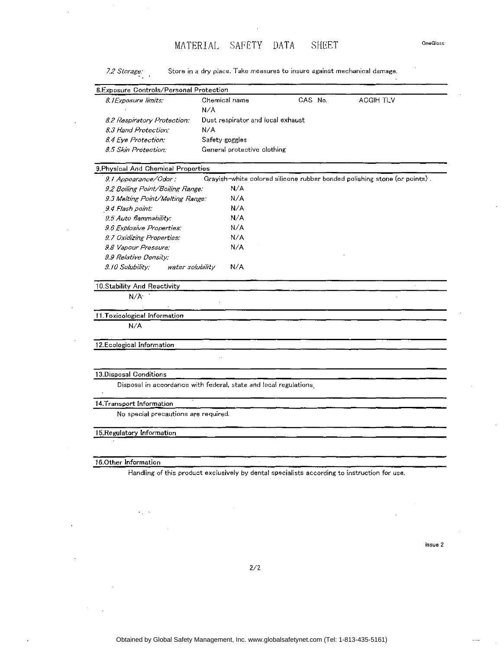MATERIAL SAFETY DATA SHEET

*7.2 Storage:* Store in a dry place. Take measures to insure against mechanical damage. B.Exposure Controls/Personal Protection *B./Exposure limits:* Chemical name N/A CAS No. *8.2 Respiratory Protection: 8. 3 Hand Protection:*  Dust respirator and local exhaust N/A *8.4 Eye Protection:* Safety goggles *8.5 Skin Protection:* General protective clothing 9.Physical And Chemical Properties ACGIH TLV *9.1 Appearance/Odor:* Grayish-white colored silicone rubber bonded polishing stone (or points) . *9.2 Boiling Point/Boiling Range:* N/A *9.3 Melting Point/Melting Range:* N/ A *.9.4 Flash point:* N/ A *9.5 Auto flammability:* N/ A *9.6 Explosive Properties:* N/ A *9. 7 Oxidizing Properties:* N/ A *9.8 Vapour Pressure:* N/ A *9.9 Relative Density: 9.10 Solubility:* water solubility N/A 10.Stability And Reactivity N/A· . 11.Toxicological Information N/A 12.Ecological Information 13.Disposal Conditions Disposal in accordance with federal, state and local regulations 14.Transport Information No special precautions are required. 15. Regulatory Information 16.0ther Information Handling of this product exclusively by dental specialists according to instruction for use.

issue 2

2/2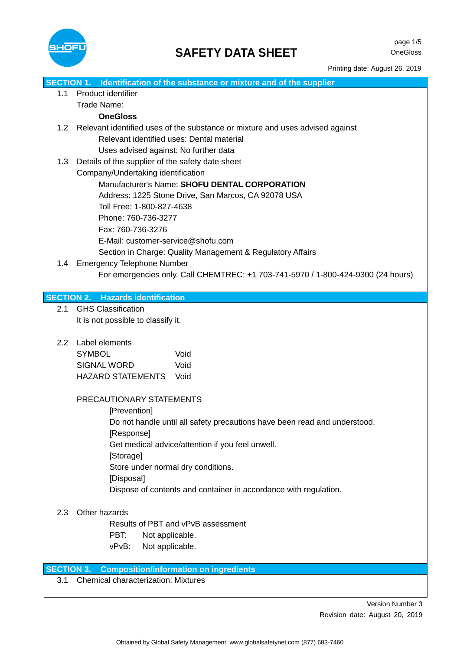

Printing date: August 26, 2019

| SECTION 1. Identification of the substance or mixture and of the supplier |                                                                                           |  |  |
|---------------------------------------------------------------------------|-------------------------------------------------------------------------------------------|--|--|
| 1.1                                                                       | Product identifier                                                                        |  |  |
|                                                                           | Trade Name:                                                                               |  |  |
|                                                                           | <b>OneGloss</b>                                                                           |  |  |
| 1.2                                                                       | Relevant identified uses of the substance or mixture and uses advised against             |  |  |
|                                                                           | Relevant identified uses: Dental material                                                 |  |  |
|                                                                           | Uses advised against: No further data                                                     |  |  |
| 1.3                                                                       | Details of the supplier of the safety date sheet                                          |  |  |
|                                                                           | Company/Undertaking identification                                                        |  |  |
|                                                                           | Manufacturer's Name: SHOFU DENTAL CORPORATION                                             |  |  |
|                                                                           | Address: 1225 Stone Drive, San Marcos, CA 92078 USA                                       |  |  |
|                                                                           | Toll Free: 1-800-827-4638                                                                 |  |  |
|                                                                           | Phone: 760-736-3277                                                                       |  |  |
|                                                                           | Fax: 760-736-3276                                                                         |  |  |
|                                                                           | E-Mail: customer-service@shofu.com                                                        |  |  |
|                                                                           | Section in Charge: Quality Management & Regulatory Affairs                                |  |  |
| 1.4                                                                       | <b>Emergency Telephone Number</b>                                                         |  |  |
|                                                                           | For emergencies only. Call CHEMTREC: +1 703-741-5970 / 1-800-424-9300 (24 hours)          |  |  |
|                                                                           |                                                                                           |  |  |
| <b>SECTION 2.</b>                                                         | <b>Hazards identification</b>                                                             |  |  |
| 2.1                                                                       | <b>GHS Classification</b>                                                                 |  |  |
|                                                                           | It is not possible to classify it.                                                        |  |  |
|                                                                           |                                                                                           |  |  |
| $2.2^{\circ}$                                                             | Label elements                                                                            |  |  |
|                                                                           | Void<br><b>SYMBOL</b>                                                                     |  |  |
|                                                                           | <b>SIGNAL WORD</b><br>Void                                                                |  |  |
|                                                                           | HAZARD STATEMENTS Void                                                                    |  |  |
|                                                                           |                                                                                           |  |  |
|                                                                           | PRECAUTIONARY STATEMENTS                                                                  |  |  |
|                                                                           | [Prevention]<br>Do not handle until all safety precautions have been read and understood. |  |  |
|                                                                           |                                                                                           |  |  |
|                                                                           | [Response]<br>Get medical advice/attention if you feel unwell.                            |  |  |
|                                                                           | [Storage]                                                                                 |  |  |
|                                                                           | Store under normal dry conditions.                                                        |  |  |
|                                                                           | [Disposal]                                                                                |  |  |
|                                                                           | Dispose of contents and container in accordance with regulation.                          |  |  |
|                                                                           |                                                                                           |  |  |
| 2.3                                                                       | Other hazards                                                                             |  |  |
|                                                                           | Results of PBT and vPvB assessment                                                        |  |  |
|                                                                           | PBT:<br>Not applicable.                                                                   |  |  |
|                                                                           | Not applicable.<br>vPvB:                                                                  |  |  |
|                                                                           |                                                                                           |  |  |
| <b>SECTION 3.</b>                                                         | <b>Composition/information on ingredients</b>                                             |  |  |
| 3.1                                                                       | <b>Chemical characterization: Mixtures</b>                                                |  |  |
|                                                                           |                                                                                           |  |  |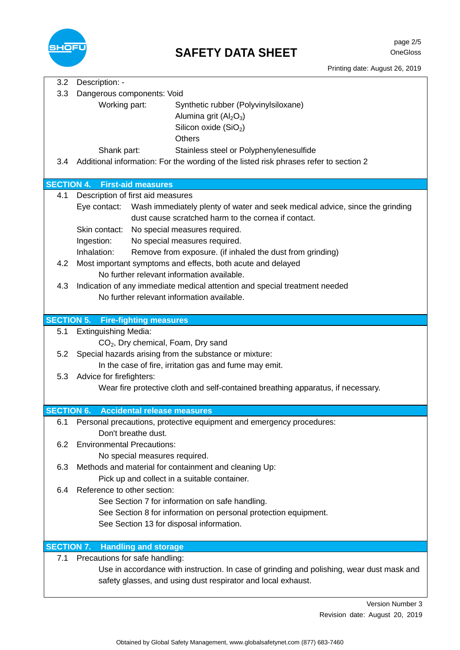

| 3.2               | Description: -                                 |                                                                                           |
|-------------------|------------------------------------------------|-------------------------------------------------------------------------------------------|
| 3.3               | Dangerous components: Void                     |                                                                                           |
|                   | Working part:                                  | Synthetic rubber (Polyvinylsiloxane)                                                      |
|                   |                                                | Alumina grit $(Al2O3)$                                                                    |
|                   |                                                | Silicon oxide $(SiO2)$                                                                    |
|                   |                                                | <b>Others</b>                                                                             |
|                   | Shank part:                                    | Stainless steel or Polyphenylenesulfide                                                   |
| 3.4               |                                                | Additional information: For the wording of the listed risk phrases refer to section 2     |
|                   |                                                |                                                                                           |
|                   | <b>SECTION 4. First-aid measures</b>           |                                                                                           |
| 4.1               | Description of first aid measures              |                                                                                           |
|                   |                                                | Eye contact: Wash immediately plenty of water and seek medical advice, since the grinding |
|                   |                                                | dust cause scratched harm to the cornea if contact.                                       |
|                   | Skin contact:                                  | No special measures required.                                                             |
|                   | Ingestion:                                     | No special measures required.                                                             |
|                   | Inhalation:                                    | Remove from exposure. (if inhaled the dust from grinding)                                 |
| 4.2               |                                                | Most important symptoms and effects, both acute and delayed                               |
|                   |                                                | No further relevant information available.                                                |
| 4.3               |                                                | Indication of any immediate medical attention and special treatment needed                |
|                   |                                                | No further relevant information available.                                                |
|                   |                                                |                                                                                           |
|                   | <b>SECTION 5. Fire-fighting measures</b>       |                                                                                           |
| 5.1               | <b>Extinguishing Media:</b>                    |                                                                                           |
|                   | CO <sub>2</sub> , Dry chemical, Foam, Dry sand |                                                                                           |
| 5.2               |                                                | Special hazards arising from the substance or mixture:                                    |
|                   |                                                | In the case of fire, irritation gas and fume may emit.                                    |
| 5.3               | Advice for firefighters:                       |                                                                                           |
|                   |                                                | Wear fire protective cloth and self-contained breathing apparatus, if necessary.          |
|                   |                                                |                                                                                           |
| <b>SECTION 6.</b> | <b>Accidental release measures</b>             |                                                                                           |
|                   |                                                | 6.1 Personal precautions, protective equipment and emergency procedures:                  |
|                   | Don't breathe dust.                            |                                                                                           |
| 6.2               | <b>Environmental Precautions:</b>              |                                                                                           |
|                   | No special measures required.                  |                                                                                           |
| 6.3               |                                                | Methods and material for containment and cleaning Up:                                     |
|                   |                                                | Pick up and collect in a suitable container.                                              |
| 6.4               | Reference to other section:                    |                                                                                           |
|                   |                                                | See Section 7 for information on safe handling.                                           |
|                   |                                                | See Section 8 for information on personal protection equipment.                           |
|                   | See Section 13 for disposal information.       |                                                                                           |
|                   |                                                |                                                                                           |
| <b>SECTION 7.</b> | <b>Handling and storage</b>                    |                                                                                           |
| 7.1               | Precautions for safe handling:                 |                                                                                           |
|                   |                                                | Use in accordance with instruction. In case of grinding and polishing, wear dust mask and |
|                   |                                                | safety glasses, and using dust respirator and local exhaust.                              |
|                   |                                                |                                                                                           |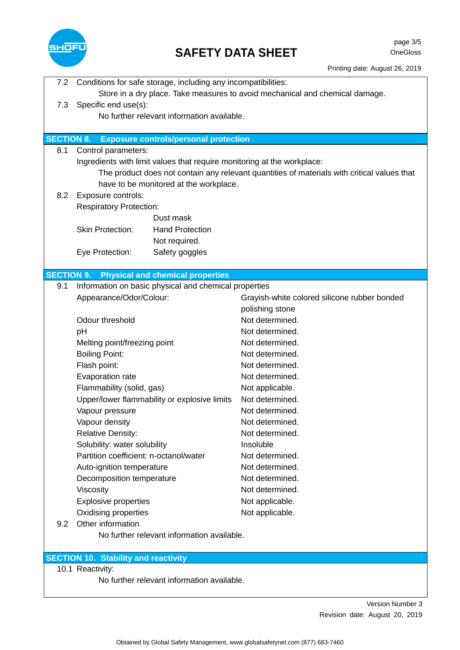

## **SAFETY DATA SHEET**

page 3/5 OneGloss

| 7.2               | Conditions for safe storage, including any incompatibilities:                               |                                              |  |  |  |
|-------------------|---------------------------------------------------------------------------------------------|----------------------------------------------|--|--|--|
|                   | Store in a dry place. Take measures to avoid mechanical and chemical damage.                |                                              |  |  |  |
| 7.3               | Specific end use(s):                                                                        |                                              |  |  |  |
|                   |                                                                                             | No further relevant information available.   |  |  |  |
|                   |                                                                                             |                                              |  |  |  |
| <b>SECTION 8.</b> | <b>Exposure controls/personal protection</b>                                                |                                              |  |  |  |
| 8.1               | Control parameters:                                                                         |                                              |  |  |  |
|                   | Ingredients with limit values that require monitoring at the workplace:                     |                                              |  |  |  |
|                   | The product does not contain any relevant quantities of materials with critical values that |                                              |  |  |  |
|                   | have to be monitored at the workplace.                                                      |                                              |  |  |  |
| 8.2               | Exposure controls:                                                                          |                                              |  |  |  |
|                   | <b>Respiratory Protection:</b>                                                              |                                              |  |  |  |
|                   | Dust mask<br><b>Hand Protection</b><br><b>Skin Protection:</b>                              |                                              |  |  |  |
|                   | Not required.                                                                               |                                              |  |  |  |
|                   | Safety goggles<br>Eye Protection:                                                           |                                              |  |  |  |
|                   |                                                                                             |                                              |  |  |  |
|                   | <b>SECTION 9. Physical and chemical properties</b>                                          |                                              |  |  |  |
| 9.1               | Information on basic physical and chemical properties                                       |                                              |  |  |  |
|                   | Appearance/Odor/Colour:                                                                     | Grayish-white colored silicone rubber bonded |  |  |  |
|                   |                                                                                             | polishing stone                              |  |  |  |
|                   | Odour threshold                                                                             | Not determined.                              |  |  |  |
|                   | pH                                                                                          | Not determined.                              |  |  |  |
|                   | Melting point/freezing point                                                                | Not determined.                              |  |  |  |
|                   | <b>Boiling Point:</b>                                                                       | Not determined.                              |  |  |  |
|                   | Flash point:                                                                                | Not determined.                              |  |  |  |
|                   | Evaporation rate                                                                            | Not determined.                              |  |  |  |
|                   | Flammability (solid, gas)                                                                   | Not applicable.                              |  |  |  |
|                   | Upper/lower flammability or explosive limits                                                | Not determined.                              |  |  |  |
|                   | Vapour pressure                                                                             | Not determined.                              |  |  |  |
|                   | Vapour density                                                                              | Not determined.                              |  |  |  |
|                   | <b>Relative Density:</b>                                                                    | Not determined.                              |  |  |  |
|                   | Solubility: water solubility                                                                | Insoluble                                    |  |  |  |
|                   | Partition coefficient: n-octanol/water                                                      | Not determined.                              |  |  |  |
|                   | Auto-ignition temperature                                                                   | Not determined.                              |  |  |  |
|                   | Decomposition temperature                                                                   | Not determined.                              |  |  |  |
|                   | Viscosity                                                                                   | Not determined.                              |  |  |  |
|                   | <b>Explosive properties</b>                                                                 | Not applicable.                              |  |  |  |
| 9.2               | Oxidising properties<br>Other information                                                   | Not applicable.                              |  |  |  |
|                   | No further relevant information available.                                                  |                                              |  |  |  |
|                   |                                                                                             |                                              |  |  |  |
|                   | <b>SECTION 10. Stability and reactivity</b>                                                 |                                              |  |  |  |
|                   | 10.1 Reactivity:                                                                            |                                              |  |  |  |
|                   | No further relevant information available.                                                  |                                              |  |  |  |
|                   |                                                                                             |                                              |  |  |  |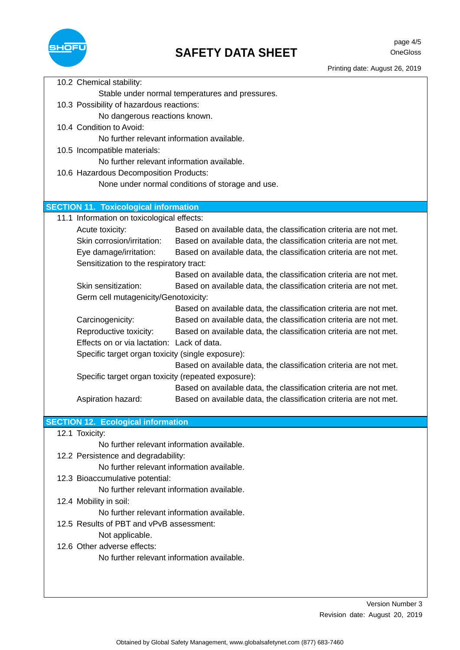

|                                                     | 10.2 Chemical stability:                          |                                                                   |  |  |  |
|-----------------------------------------------------|---------------------------------------------------|-------------------------------------------------------------------|--|--|--|
| Stable under normal temperatures and pressures.     |                                                   |                                                                   |  |  |  |
|                                                     | 10.3 Possibility of hazardous reactions:          |                                                                   |  |  |  |
| No dangerous reactions known.                       |                                                   |                                                                   |  |  |  |
|                                                     | 10.4 Condition to Avoid:                          |                                                                   |  |  |  |
|                                                     | No further relevant information available.        |                                                                   |  |  |  |
|                                                     | 10.5 Incompatible materials:                      |                                                                   |  |  |  |
|                                                     |                                                   | No further relevant information available.                        |  |  |  |
|                                                     | 10.6 Hazardous Decomposition Products:            |                                                                   |  |  |  |
|                                                     |                                                   | None under normal conditions of storage and use.                  |  |  |  |
|                                                     |                                                   |                                                                   |  |  |  |
|                                                     | <b>SECTION 11. Toxicological information</b>      |                                                                   |  |  |  |
|                                                     | 11.1 Information on toxicological effects:        |                                                                   |  |  |  |
|                                                     | Acute toxicity:                                   | Based on available data, the classification criteria are not met. |  |  |  |
|                                                     | Skin corrosion/irritation:                        | Based on available data, the classification criteria are not met. |  |  |  |
|                                                     | Eye damage/irritation:                            | Based on available data, the classification criteria are not met. |  |  |  |
|                                                     | Sensitization to the respiratory tract:           |                                                                   |  |  |  |
|                                                     |                                                   | Based on available data, the classification criteria are not met. |  |  |  |
|                                                     | Skin sensitization:                               | Based on available data, the classification criteria are not met. |  |  |  |
|                                                     | Germ cell mutagenicity/Genotoxicity:              |                                                                   |  |  |  |
|                                                     |                                                   | Based on available data, the classification criteria are not met. |  |  |  |
|                                                     | Carcinogenicity:                                  | Based on available data, the classification criteria are not met. |  |  |  |
|                                                     | Reproductive toxicity:                            | Based on available data, the classification criteria are not met. |  |  |  |
|                                                     | Effects on or via lactation: Lack of data.        |                                                                   |  |  |  |
|                                                     | Specific target organ toxicity (single exposure): |                                                                   |  |  |  |
|                                                     |                                                   | Based on available data, the classification criteria are not met. |  |  |  |
| Specific target organ toxicity (repeated exposure): |                                                   |                                                                   |  |  |  |
|                                                     |                                                   | Based on available data, the classification criteria are not met. |  |  |  |
|                                                     | Aspiration hazard:                                | Based on available data, the classification criteria are not met. |  |  |  |
|                                                     |                                                   |                                                                   |  |  |  |
|                                                     | <b>SECTION 12. Ecological information</b>         |                                                                   |  |  |  |
|                                                     | 12.1 Toxicity:                                    |                                                                   |  |  |  |
| No further relevant information available.          |                                                   |                                                                   |  |  |  |
|                                                     | 12.2 Persistence and degradability:               |                                                                   |  |  |  |
|                                                     |                                                   | No further relevant information available.                        |  |  |  |
| 12.3 Bioaccumulative potential:                     |                                                   |                                                                   |  |  |  |
| No further relevant information available.          |                                                   |                                                                   |  |  |  |
| 12.4 Mobility in soil:                              |                                                   |                                                                   |  |  |  |
| No further relevant information available.          |                                                   |                                                                   |  |  |  |
|                                                     |                                                   |                                                                   |  |  |  |
| 12.5 Results of PBT and vPvB assessment:            |                                                   |                                                                   |  |  |  |
|                                                     | Not applicable.<br>12.6 Other adverse effects:    |                                                                   |  |  |  |
|                                                     |                                                   |                                                                   |  |  |  |
| No further relevant information available.          |                                                   |                                                                   |  |  |  |
|                                                     |                                                   |                                                                   |  |  |  |
|                                                     |                                                   |                                                                   |  |  |  |